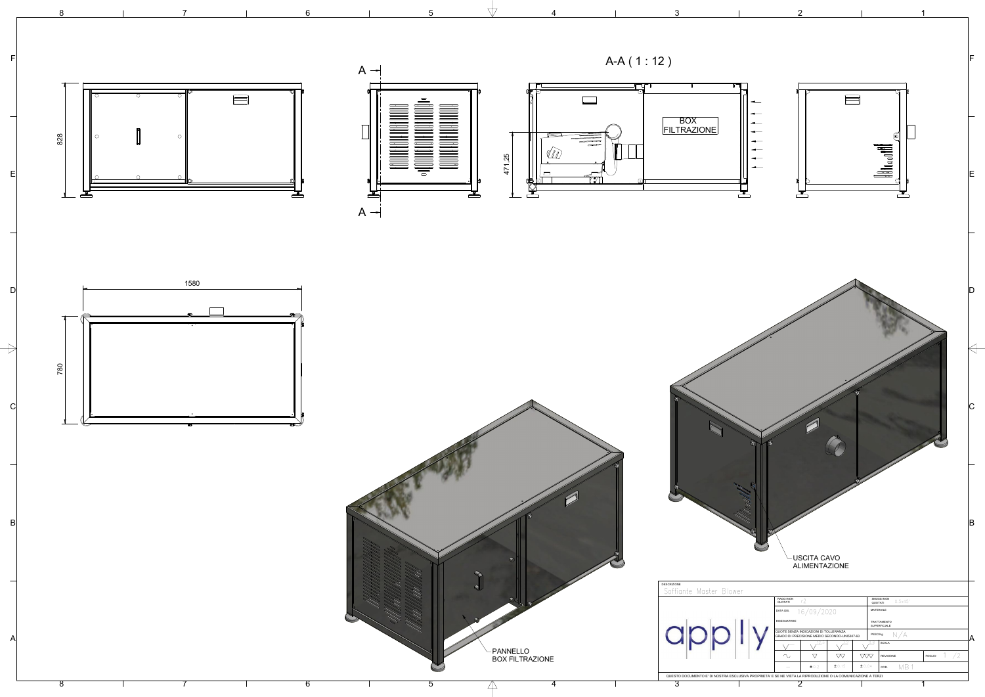